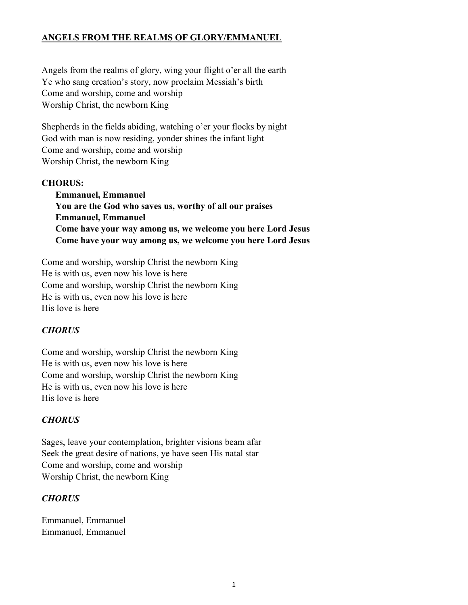## **ANGELS FROM THE REALMS OF GLORY/EMMANUEL**

Angels from the realms of glory, wing your flight o'er all the earth Ye who sang creation's story, now proclaim Messiah's birth Come and worship, come and worship Worship Christ, the newborn King

Shepherds in the fields abiding, watching o'er your flocks by night God with man is now residing, yonder shines the infant light Come and worship, come and worship Worship Christ, the newborn King

## **CHORUS:**

**Emmanuel, Emmanuel You are the God who saves us, worthy of all our praises Emmanuel, Emmanuel Come have your way among us, we welcome you here Lord Jesus Come have your way among us, we welcome you here Lord Jesus**

Come and worship, worship Christ the newborn King He is with us, even now his love is here Come and worship, worship Christ the newborn King He is with us, even now his love is here His love is here

## *CHORUS*

Come and worship, worship Christ the newborn King He is with us, even now his love is here Come and worship, worship Christ the newborn King He is with us, even now his love is here His love is here

## *CHORUS*

Sages, leave your contemplation, brighter visions beam afar Seek the great desire of nations, ye have seen His natal star Come and worship, come and worship Worship Christ, the newborn King

## *CHORUS*

Emmanuel, Emmanuel Emmanuel, Emmanuel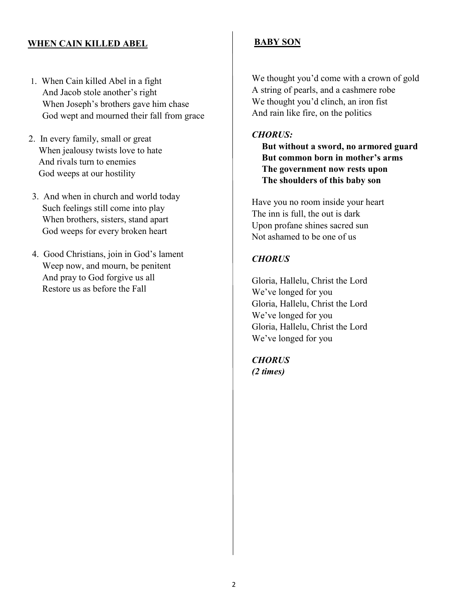# **WHEN CAIN KILLED ABEL BABY SON**

- 1. When Cain killed Abel in a fight And Jacob stole another's right When Joseph's brothers gave him chase God wept and mourned their fall from grace
- 2. In every family, small or great When jealousy twists love to hate And rivals turn to enemies God weeps at our hostility
- 3. And when in church and world today Such feelings still come into play When brothers, sisters, stand apart God weeps for every broken heart
- 4. Good Christians, join in God's lament Weep now, and mourn, be penitent And pray to God forgive us all Restore us as before the Fall

We thought you'd come with a crown of gold A string of pearls, and a cashmere robe We thought you'd clinch, an iron fist And rain like fire, on the politics

### *CHORUS:*

**But without a sword, no armored guard But common born in mother's arms The government now rests upon The shoulders of this baby son**

Have you no room inside your heart The inn is full, the out is dark Upon profane shines sacred sun Not ashamed to be one of us

## *CHORUS*

Gloria, Hallelu, Christ the Lord We've longed for you Gloria, Hallelu, Christ the Lord We've longed for you Gloria, Hallelu, Christ the Lord We've longed for you

# *CHORUS*

*(2 times)*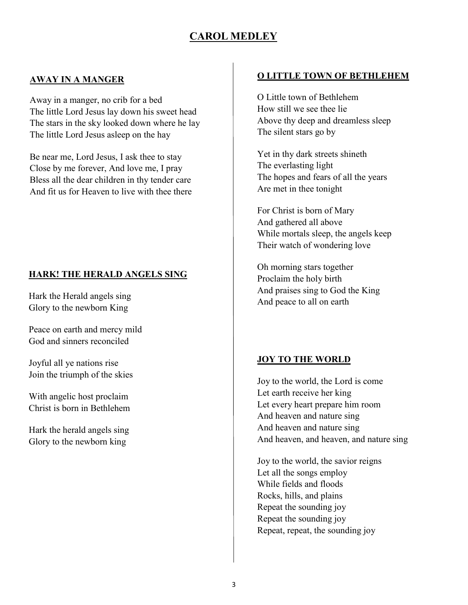# **CAROL MEDLEY**

## **AWAY IN A MANGER**

Away in a manger, no crib for a bed The little Lord Jesus lay down his sweet head The stars in the sky looked down where he lay The little Lord Jesus asleep on the hay

Be near me, Lord Jesus, I ask thee to stay Close by me forever, And love me, I pray Bless all the dear children in thy tender care And fit us for Heaven to live with thee there

# **HARK! THE HERALD ANGELS SING**

Hark the Herald angels sing Glory to the newborn King

Peace on earth and mercy mild God and sinners reconciled

Joyful all ye nations rise Join the triumph of the skies

With angelic host proclaim Christ is born in Bethlehem

Hark the herald angels sing Glory to the newborn king

## **O LITTLE TOWN OF BETHLEHEM**

O Little town of Bethlehem How still we see thee lie Above thy deep and dreamless sleep The silent stars go by

Yet in thy dark streets shineth The everlasting light The hopes and fears of all the years Are met in thee tonight

For Christ is born of Mary And gathered all above While mortals sleep, the angels keep Their watch of wondering love

Oh morning stars together Proclaim the holy birth And praises sing to God the King And peace to all on earth

## **JOY TO THE WORLD**

Joy to the world, the Lord is come Let earth receive her king Let every heart prepare him room And heaven and nature sing And heaven and nature sing And heaven, and heaven, and nature sing

Joy to the world, the savior reigns Let all the songs employ While fields and floods Rocks, hills, and plains Repeat the sounding joy Repeat the sounding joy Repeat, repeat, the sounding joy